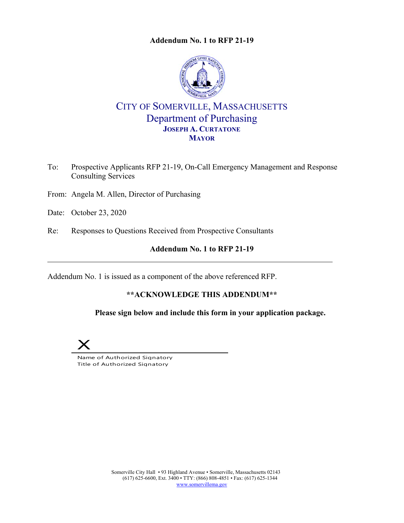

# CITY OF SOMERVILLE, MASSACHUSETTS Department of Purchasing **JOSEPH A. CURTATONE MAYOR**

- To: Prospective Applicants RFP 21-19, On-Call Emergency Management and Response Consulting Services
- From: Angela M. Allen, Director of Purchasing
- Date: October 23, 2020
- Re: Responses to Questions Received from Prospective Consultants

## **Addendum No. 1 to RFP 21-19**

Addendum No. 1 is issued as a component of the above referenced RFP.

## **\*\*ACKNOWLEDGE THIS ADDENDUM\*\***

 **Please sign below and include this form in your application package.** 



Name of Authorized Signatory Title of Authorized Signatory

> Somerville City Hall • 93 Highland Avenue • Somerville, Massachusetts 02143 (617) 625-6600, Ext. 3400 • TTY: (866) 808-4851 • Fax: (617) 625-1344 www.somervillema.gov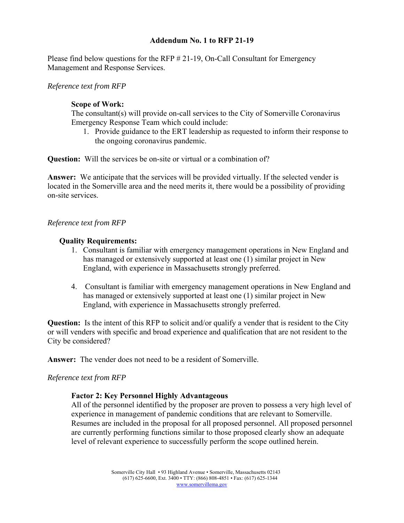Please find below questions for the RFP # 21-19, On-Call Consultant for Emergency Management and Response Services.

*Reference text from RFP* 

#### **Scope of Work:**

The consultant(s) will provide on-call services to the City of Somerville Coronavirus Emergency Response Team which could include:

1. Provide guidance to the ERT leadership as requested to inform their response to the ongoing coronavirus pandemic.

**Question:** Will the services be on-site or virtual or a combination of?

**Answer:** We anticipate that the services will be provided virtually. If the selected vender is located in the Somerville area and the need merits it, there would be a possibility of providing on-site services.

#### *Reference text from RFP*

#### **Quality Requirements:**

- 1. Consultant is familiar with emergency management operations in New England and has managed or extensively supported at least one (1) similar project in New England, with experience in Massachusetts strongly preferred.
- 4. Consultant is familiar with emergency management operations in New England and has managed or extensively supported at least one (1) similar project in New England, with experience in Massachusetts strongly preferred.

**Question:** Is the intent of this RFP to solicit and/or qualify a vender that is resident to the City or will venders with specific and broad experience and qualification that are not resident to the City be considered?

**Answer:** The vender does not need to be a resident of Somerville.

## *Reference text from RFP*

## **Factor 2: Key Personnel Highly Advantageous**

All of the personnel identified by the proposer are proven to possess a very high level of experience in management of pandemic conditions that are relevant to Somerville. Resumes are included in the proposal for all proposed personnel. All proposed personnel are currently performing functions similar to those proposed clearly show an adequate level of relevant experience to successfully perform the scope outlined herein.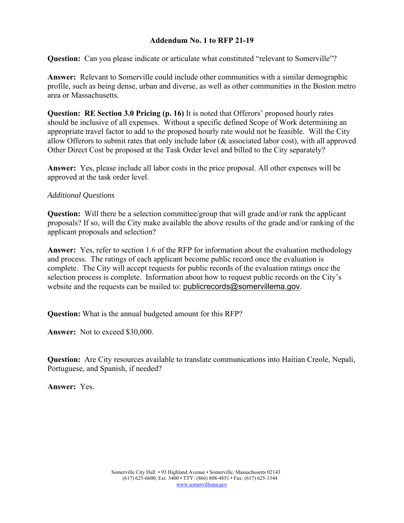**Question:** Can you please indicate or articulate what constituted "relevant to Somerville"?

**Answer:** Relevant to Somerville could include other communities with a similar demographic profile, such as being dense, urban and diverse, as well as other communities in the Boston metro area or Massachusetts.

**Question: RE Section 3.0 Pricing (p. 16)** It is noted that Offerors' proposed hourly rates should be inclusive of all expenses. Without a specific defined Scope of Work determining an appropriate travel factor to add to the proposed hourly rate would not be feasible. Will the City allow Offerors to submit rates that only include labor (& associated labor cost), with all approved Other Direct Cost be proposed at the Task Order level and billed to the City separately?

**Answer:** Yes, please include all labor costs in the price proposal. All other expenses will be approved at the task order level.

## *Additional Questions*

**Question:** Will there be a selection committee/group that will grade and/or rank the applicant proposals? If so, will the City make available the above results of the grade and/or ranking of the applicant proposals and selection?

Answer: Yes, refer to section 1.6 of the RFP for information about the evaluation methodology and process. The ratings of each applicant become public record once the evaluation is complete. The City will accept requests for public records of the evaluation ratings once the selection process is complete. Information about how to request public records on the City's website and the requests can be mailed to: publicrecords@somervillema.gov.

**Question:** What is the annual budgeted amount for this RFP?

**Answer:** Not to exceed \$30,000.

**Question:** Are City resources available to translate communications into Haitian Creole, Nepali, Portuguese, and Spanish, if needed?

**Answer:** Yes.